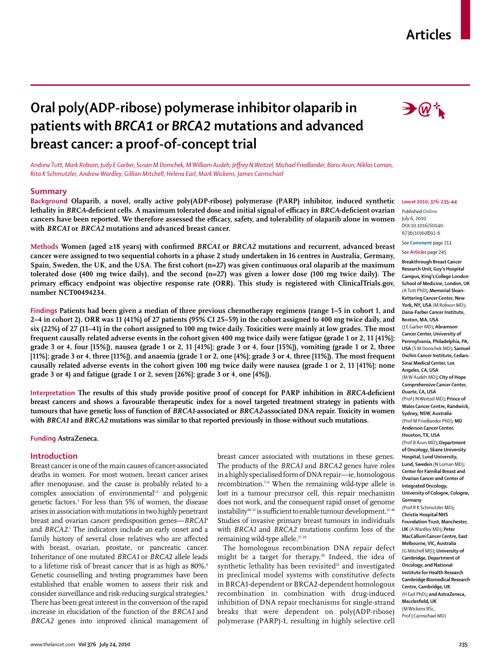## **Articles**

# **Oral poly(ADP-ribose) polymerase inhibitor olaparib in patients with** *BRCA1* **or** *BRCA2* **mutations and advanced breast cancer: a proof-of-concept trial**

*Andrew Tutt, Mark Robson, Judy E Garber, Susan M Domchek, M William Audeh, Jeff rey N Weitzel, Michael Friedlander, Banu Arun, Niklas Loman, Rita K Schmutzler, Andrew Wardley, Gillian Mitchell, Helena Earl, Mark Wickens, James Carmichael*

#### **Summary**

**Background Olaparib, a novel, orally active poly(ADP-ribose) polymerase (PARP) inhibitor, induced synthetic**  lethality in *BRCA*-deficient cells. A maximum tolerated dose and initial signal of efficacy in *BRCA*-deficient ovarian cancers have been reported. We therefore assessed the efficacy, safety, and tolerability of olaparib alone in women **with** *BRCA1* **or** *BRCA2* **mutations and advanced breast cancer.**

Methods Women (aged ≥18 years) with confirmed *BRCA1* or *BRCA2* mutations and recurrent, advanced breast **cancer were assigned to two sequential cohorts in a phase 2 study undertaken in 16 centres in Australia, Germany,** Spain, Sweden, the UK, and the USA. The first cohort (n=27) was given continuous oral olaparib at the maximum **tolerated dose (400 mg twice daily), and the second (n=27) was given a lower dose (100 mg twice daily). The**  primary efficacy endpoint was objective response rate (ORR). This study is registered with ClinicalTrials.gov, **number NCT00494234.**

**Findings Patients had been given a median of three previous chemotherapy regimens (range 1–5 in cohort 1, and 2–4 in cohort 2). ORR was 11 (41%) of 27 patients (95% CI 25–59) in the cohort assigned to 400 mg twice daily, and six (22%) of 27 (11–41) in the cohort assigned to 100 mg twice daily. Toxicities were mainly at low grades. The most frequent causally related adverse events in the cohort given 400 mg twice daily were fatigue (grade 1 or 2, 11 [41%]; grade 3 or 4, four [15%]), nausea (grade 1 or 2, 11 [41%]; grade 3 or 4, four [15%]), vomiting (grade 1 or 2, three [11%]; grade 3 or 4, three [11%]), and anaemia (grade 1 or 2, one [4%]; grade 3 or 4, three [11%]). The most frequent causally related adverse events in the cohort given 100 mg twice daily were nausea (grade 1 or 2, 11 [41%]; none grade 3 or 4) and fatigue (grade 1 or 2, seven [26%]; grade 3 or 4, one [4%]).**

Interpretation The results of this study provide positive proof of concept for PARP inhibition in *BRCA*-deficient **breast cancers and shows a favourable therapeutic index for a novel targeted treatment strategy in patients with tumours that have genetic loss of function of** *BRCA1*-**associated or** *BRCA2***-associated DNA repair. Toxicity in women with** *BRCA1* **and** *BRCA2* **mutations was similar to that reported previously in those without such mutations.** 

## **Funding AstraZeneca.**

## **Introduction**

Breast cancer is one of the main causes of cancer-associated deaths in women. For most women, breast cancer arises after menopause, and the cause is probably related to a complex association of environmental $1/2$  and polygenic genetic factors.3 For less than 5% of women, the disease arises in association with mutations in two highly penetrant breast and ovarian cancer predisposition genes—*BRCA1*<sup>4</sup> and *BRCA2.*<sup>5</sup> The indicators include an early onset and a family history of several close relatives who are affected with breast, ovarian, prostate, or pancreatic cancer. Inheritance of one mutated *BRCA1* or *BRCA*2 allele leads to a lifetime risk of breast cancer that is as high as 80%.<sup>6</sup> Genetic counselling and testing programmes have been established that enable women to assess their risk and consider surveillance and risk-reducing surgical strategies.<sup>6</sup> There has been great interest in the conversion of the rapid increase in elucidation of the function of the *BRCA1* and *BRCA2* genes into improved clinical management of

breast cancer associated with mutations in these genes. The products of the *BRCA1* and *BRCA2* genes have roles in a highly specialised form of DNA repair—ie, homologous recombination.7–9 When the remaining wild-type allele is lost in a tumour precursor cell, this repair mechanism does not work, and the consequent rapid onset of genome instability<sup>10–12</sup> is sufficient to enable tumour development.<sup>13–16</sup> Studies of invasive primary breast tumours in individuals with *BRCA1* and *BRCA2* mutations confirm loss of the remaining wild-type allele.17–19

The homologous recombination DNA repair defect might be a target for therapy.20 Indeed, the idea of synthetic lethality has been revisited<sup>21</sup> and investigated in preclinical model systems with constitutive defects in BRCA1-dependent or BRCA2-dependent homologous recombination in combination with drug-induced inhibition of DNA repair mechanisms for single-strand breaks that were dependent on poly(ADP-ribose) polymerase (PARP)-1, resulting in highly selective cell



#### *Lancet* **2010; 376: 235–44**

Published **Online** July 6, 2010 DOI:10.1016/S0140- 6736(10)60892-6

## See **Comment** page 211

See **Articles** page 245

**Breakthrough Breast Cancer Research Unit, Guy's Hospital Campus, King's College London School of Medicine, London, UK** (A Tutt PhD)**; Memorial Sloan-Kettering Cancer Center, New York, NY, USA** (M Robson MD)**; Dana-Farber Cancer Institute, Boston, MA, USA** (J E Garber MD)**; Abramson Cancer Center, University of Pennsylvania, Philadelphia, PA, USA** (S M Domchek MD)**; Samuel Oschin Cancer Institute, Cedars-Sinai Medical Center, Los Angeles, CA, USA**  (M W Audeh MD)**; City of Hope Comprehensive Cancer Center, Duarte, CA, USA** (Prof J N Weitzel MD)**; Prince of Wales Cancer Centre, Randwick, Sydney, NSW, Australia** (Prof M Friedlander PhD)**; MD Anderson Cancer Center, Houston, TX, USA** (Prof B Arun MD)**; Department of Oncology, Skane University Hospital, Lund University, Lund, Sweden** (N Loman MD)**; Center for Familial Breast and Ovarian Cancer and Center of Integrated Oncology, University of Cologne, Cologne, Germany** (Prof R K Schmutzler MD)**; Christie Hospital NHS Foundation Trust, Manchester, UK** (A Wardley MD)**; Peter MacCallum Cancer Centre, East Melbourne, VIC, Australia**  (G Mitchell MD)**; University of Cambridge, Department of Oncology, and National Institute for Health Research Cambridge Biomedical Research Centre, Cambridge, UK** (H Earl PhD)**; and AstraZeneca, Macclesfield, UK** (M Wickens BSc, Prof J Carmichael MD)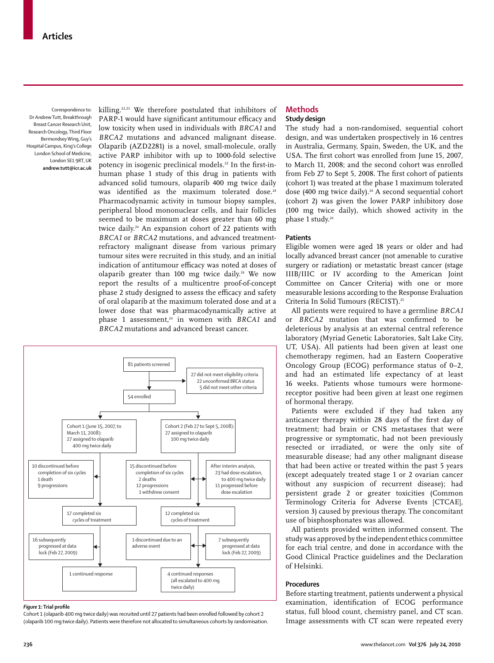Correspondence to: Dr Andrew Tutt, Breakthrough Breast Cancer Research Unit, Research Oncology, Third Floor Bermondsey Wing, Guy's Hospital Campus, King's College London School of Medicine, London SE1 9RT, UK **andrew.tutt@icr.ac.uk** killing.22,23 We therefore postulated that inhibitors of PARP-1 would have significant antitumour efficacy and low toxicity when used in individuals with *BRCA1* and *BRCA2* mutations and advanced malignant disease. Olaparib (AZD2281) is a novel, small-molecule, orally active PARP inhibitor with up to 1000-fold selective potency in isogenic preclinical models.<sup>22</sup> In the first-inhuman phase 1 study of this drug in patients with advanced solid tumours, olaparib 400 mg twice daily was identified as the maximum tolerated dose.<sup>24</sup> Pharmacodynamic activity in tumour biopsy samples, peripheral blood mononuclear cells, and hair follicles seemed to be maximum at doses greater than 60 mg twice daily.<sup>24</sup> An expansion cohort of 22 patients with *BRCA1* or *BRCA2* mutations, and advanced treatmentrefractory malignant disease from various primary tumour sites were recruited in this study, and an initial indication of antitumour efficacy was noted at doses of olaparib greater than 100 mg twice daily.<sup>24</sup> We now report the results of a multicentre proof-of-concept phase 2 study designed to assess the efficacy and safety of oral olaparib at the maximum tolerated dose and at a lower dose that was pharmacodynamically active at phase 1 assessment,<sup>24</sup> in women with *BRCA1* and *BRCA2* mutations and advanced breast cancer.



#### **Figure 1:** Trial profile

Cohort 1 (olaparib 400 mg twice daily) was recruited until 27 patients had been enrolled followed by cohort 2 (olaparib 100 mg twice daily). Patients were therefore not allocated to simultaneous cohorts by randomisation.

#### **Methods Study design**

The study had a non-randomised, sequential cohort design, and was undertaken prospectively in 16 centres in Australia, Germany, Spain, Sweden, the UK, and the USA. The first cohort was enrolled from June 15, 2007. to March 11, 2008; and the second cohort was enrolled from Feb 27 to Sept 5, 2008. The first cohort of patients (cohort 1) was treated at the phase 1 maximum tolerated dose (400 mg twice daily).<sup>24</sup> A second sequential cohort (cohort 2) was given the lower PARP inhibitory dose (100 mg twice daily), which showed activity in the phase 1 study.24

## **Patients**

Eligible women were aged 18 years or older and had locally advanced breast cancer (not amenable to curative surgery or radiation) or metastatic breast cancer (stage IIIB/IIIC or IV according to the American Joint Committee on Cancer Criteria) with one or more measurable lesions according to the Response Evaluation Criteria In Solid Tumours (RECIST).25

All patients were required to have a germline *BRCA1* or *BRCA2* mutation that was confirmed to be deleterious by analysis at an external central reference laboratory (Myriad Genetic Laboratories, Salt Lake City, UT, USA). All patients had been given at least one chemotherapy regimen, had an Eastern Cooperative Oncology Group (ECOG) performance status of 0–2, and had an estimated life expectancy of at least 16 weeks. Patients whose tumours were hormonereceptor positive had been given at least one regimen of hormonal therapy.

Patients were excluded if they had taken any anticancer therapy within 28 days of the first day of treatment; had brain or CNS metastases that were progressive or symptomatic, had not been previously resected or irradiated, or were the only site of measurable disease; had any other malignant disease that had been active or treated within the past 5 years (except adequately treated stage 1 or 2 ovarian cancer without any suspicion of recurrent disease); had persistent grade 2 or greater toxicities (Common Terminology Criteria for Adverse Events [CTCAE], version 3) caused by previous therapy. The concomitant use of bisphosphonates was allowed.

All patients provided written informed consent. The study was approved by the independent ethics committee for each trial centre, and done in accordance with the Good Clinical Practice guidelines and the Declaration of Helsinki.

## **Procedures**

Before starting treatment, patients underwent a physical examination, identification of ECOG performance status, full blood count, chemistry panel, and CT scan. Image assessments with CT scan were repeated every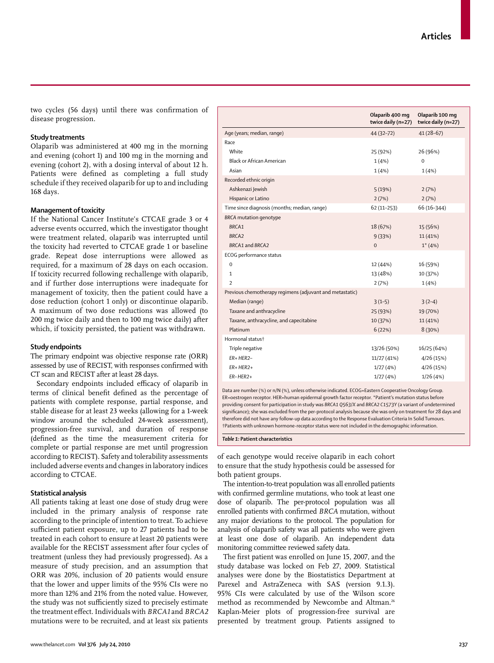two cycles (56 days) until there was confirmation of disease progression.

## **Study treatments**

Olaparib was administered at 400 mg in the morning and evening (cohort 1) and 100 mg in the morning and evening (cohort 2), with a dosing interval of about 12 h. Patients were defined as completing a full study schedule if they received olaparib for up to and including 168 days.

## **Management of toxicity**

If the National Cancer Institute's CTCAE grade 3 or 4 adverse events occurred, which the investigator thought were treatment related, olaparib was interrupted until the toxicity had reverted to CTCAE grade 1 or baseline grade. Repeat dose interruptions were allowed as required, for a maximum of 28 days on each occasion. If toxicity recurred following rechallenge with olaparib, and if further dose interruptions were inadequate for management of toxicity, then the patient could have a dose reduction (cohort 1 only) or discontinue olaparib. A maximum of two dose reductions was allowed (to 200 mg twice daily and then to 100 mg twice daily) after which, if toxicity persisted, the patient was withdrawn.

#### **Study endpoints**

The primary endpoint was objective response rate (ORR) assessed by use of RECIST, with responses confirmed with CT scan and RECIST after at least 28 days.

Secondary endpoints included efficacy of olaparib in terms of clinical benefit defined as the percentage of patients with complete response, partial response, and stable disease for at least 23 weeks (allowing for a 1-week window around the scheduled 24-week assessment), progression-free survival, and duration of response (defined as the time the measurement criteria for complete or partial response are met until progression according to RECIST). Safety and tolerability assessments included adverse events and changes in laboratory indices according to CTCAE.

### **Statistical analysis**

All patients taking at least one dose of study drug were included in the primary analysis of response rate according to the principle of intention to treat. To achieve sufficient patient exposure, up to 27 patients had to be treated in each cohort to ensure at least 20 patients were available for the RECIST assessment after four cycles of treatment (unless they had previously progressed). As a measure of study precision, and an assumption that ORR was 20%, inclusion of 20 patients would ensure that the lower and upper limits of the 95% CIs were no more than 12% and 21% from the noted value. However, the study was not sufficiently sized to precisely estimate the treatment effect. Individuals with *BRCA1* and *BRCA2* mutations were to be recruited, and at least six patients

|                                                          | Olaparib 400 mg<br>twice daily (n=27) | Olaparib 100 mq<br>twice daily (n=27) |
|----------------------------------------------------------|---------------------------------------|---------------------------------------|
| Age (years; median, range)                               | 44 (32-72)                            | $41(28-67)$                           |
| Race                                                     |                                       |                                       |
| White                                                    | 25 (92%)                              | 26 (96%)                              |
| Black or African American                                | 1(4%)                                 | $\Omega$                              |
| Asian                                                    | 1(4%)                                 | 1(4%)                                 |
| Recorded ethnic origin                                   |                                       |                                       |
| Ashkenazi Jewish                                         | 5(19%)                                | 2(7%)                                 |
| Hispanic or Latino                                       | 2(7%)                                 | 2(7%)                                 |
| Time since diagnosis (months; median, range)             | $62(11-253)$                          | 66 (16-344)                           |
| <b>BRCA</b> mutation genotype                            |                                       |                                       |
| BRCA1                                                    | 18 (67%)                              | 15 (56%)                              |
| BRCA <sub>2</sub>                                        | 9(33%)                                | 11(41%)                               |
| BRCA1 and BRCA2                                          | $\Omega$                              | $1^*(4%)$                             |
| ECOG performance status                                  |                                       |                                       |
| 0                                                        | 12 (44%)                              | 16 (59%)                              |
| 1                                                        | 13 (48%)                              | 10 (37%)                              |
| $\overline{\phantom{a}}$                                 | 2(7%)                                 | 1(4%)                                 |
| Previous chemotherapy regimens (adjuvant and metastatic) |                                       |                                       |
| Median (range)                                           | $3(1-5)$                              | $3(2-4)$                              |
| Taxane and anthracycline                                 | 25 (93%)                              | 19 (70%)                              |
| Taxane, anthracycline, and capecitabine                  | 10 (37%)                              | 11 (41%)                              |
| Platinum                                                 | 6(22%)                                | 8(30%)                                |
| Hormonal status†                                         |                                       |                                       |
| Triple negative                                          | 13/26 (50%)                           | 16/25 (64%)                           |
| $FR+HFR2-$                                               | 11/27 (41%)                           | 4/26 (15%)                            |
| $FR+HFR2+$                                               | 1/27(4%)                              | 4/26 (15%)                            |
| ER-HER2+                                                 | 1/27(4%)                              | 1/26(4%)                              |
|                                                          |                                       |                                       |

Data are number (%) or n/N (%), unless otherwise indicated. ECOG=Eastern Cooperative Oncology Group. ER=oestrogen receptor. HER=human epidermal growth factor receptor. \*Patient's mutation status before providing consent for participation in study was *BRCA1 Q563/X* and *BRCA2 C1573Y* (a variant of undetermined signifi cance); she was excluded from the per-protocol analysis because she was only on treatment for 28 days and therefore did not have any follow-up data according to the Response Evaluation Criteria In Solid Tumours. †Patients with unknown hormone-receptor status were not included in the demographic information.

*Table 1:* **Patient characteristics**

of each genotype would receive olaparib in each cohort to ensure that the study hypothesis could be assessed for both patient groups.

The intention-to-treat population was all enrolled patients with confirmed germline mutations, who took at least one dose of olaparib. The per-protocol population was all enrolled patients with confirmed *BRCA* mutation, without any major deviations to the protocol. The population for analysis of olaparib safety was all patients who were given at least one dose of olaparib. An independent data monitoring committee reviewed safety data.

The first patient was enrolled on June 15, 2007, and the study database was locked on Feb 27, 2009. Statistical analyses were done by the Biostatistics Department at Parexel and AstraZeneca with SAS (version 9.1.3). 95% CIs were calculated by use of the Wilson score method as recommended by Newcombe and Altman.26 Kaplan-Meier plots of progression-free survival are presented by treatment group. Patients assigned to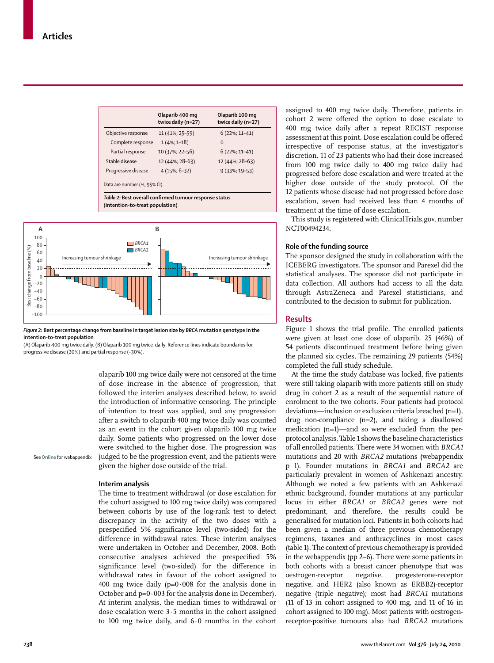|                              | Olaparib 400 mg<br>twice daily (n=27) | Olaparib 100 mg<br>twice daily (n=27) |
|------------------------------|---------------------------------------|---------------------------------------|
| Objective response           | 11 (41%; 25-59)                       | $6(22\%; 11-41)$                      |
| Complete response            | $1(4\%; 1-18)$                        | $\Omega$                              |
| Partial response             | 10 (37%; 22-56)                       | $6(22\%; 11-41)$                      |
| Stable disease               | 12 (44%; 28-63)                       | 12 (44%; 28-63)                       |
| Progressive disease          | $4(15\%; 6-32)$                       | 9 (33%; 19-53)                        |
| Data are number (%; 95% CI). |                                       |                                       |

*Table 2:* **Best overall confi rmed tumour response status (intention-to-treat population)**



*Figure 2:* **Best percentage change from baseline in target lesion size by** *BRCA* **mutation genotype in the intention-to-treat population**

(A) Olaparib 400 mg twice daily. (B) Olaparib 100 mg twice daily. Reference lines indicate boundaries for progressive disease (20%) and partial response (–30%).

> olaparib 100 mg twice daily were not censored at the time of dose increase in the absence of progression, that followed the interim analyses described below, to avoid the introduction of informative censoring. The principle of intention to treat was applied, and any progression after a switch to olaparib 400 mg twice daily was counted as an event in the cohort given olaparib 100 mg twice daily. Some patients who progressed on the lower dose were switched to the higher dose. The progression was judged to be the progression event, and the patients were given the higher dose outside of the trial.

See **Online** for webappendix

#### **Interim analysis**

The time to treatment withdrawal (or dose escalation for the cohort assigned to 100 mg twice daily) was compared between cohorts by use of the log-rank test to detect discrepancy in the activity of the two doses with a prespecified 5% significance level (two-sided) for the difference in withdrawal rates. These interim analyses were undertaken in October and December, 2008. Both consecutive analyses achieved the prespecified 5% significance level (two-sided) for the difference in withdrawal rates in favour of the cohort assigned to 400 mg twice daily ( $p=0.008$  for the analysis done in October and  $p=0.003$  for the analysis done in December). At interim analysis, the median times to withdrawal or dose escalation were 3·5 months in the cohort assigned to 100 mg twice daily, and 6·0 months in the cohort assigned to 400 mg twice daily. Therefore, patients in cohort 2 were offered the option to dose escalate to 400 mg twice daily after a repeat RECIST response assessment at this point. Dose escalation could be offered irrespective of response status, at the investigator's discretion. 11 of 23 patients who had their dose increased from 100 mg twice daily to 400 mg twice daily had progressed before dose escalation and were treated at the higher dose outside of the study protocol. Of the 12 patients whose disease had not progressed before dose escalation, seven had received less than 4 months of treatment at the time of dose escalation.

This study is registered with ClinicalTrials.gov, number NCT00494234.

#### **Role of the funding source**

The sponsor designed the study in collaboration with the ICEBERG investigators. The sponsor and Parexel did the statistical analyses. The sponsor did not participate in data collection. All authors had access to all the data through AstraZeneca and Parexel statisticians, and contributed to the decision to submit for publication.

#### **Results**

Figure 1 shows the trial profile. The enrolled patients were given at least one dose of olaparib. 25 (46%) of 54 patients discontinued treatment before being given the planned six cycles. The remaining 29 patients (54%) completed the full study schedule.

At the time the study database was locked, five patients were still taking olaparib with more patients still on study drug in cohort 2 as a result of the sequential nature of enrolment to the two cohorts. Four patients had protocol deviations—inclusion or exclusion criteria breached (n=1), drug non-compliance (n=2), and taking a disallowed medication (n=1)—and so were excluded from the perprotocol analysis. Table 1 shows the baseline characteristics of all enrolled patients. There were 34 women with *BRCA1*  mutations and 20 with *BRCA2* mutations (webappendix p 1). Founder mutations in *BRCA1* and *BRCA2* are particularly prevalent in women of Ashkenazi ancestry. Although we noted a few patients with an Ashkenazi ethnic background, founder mutations at any particular locus in either *BRCA1* or *BRCA2* genes were not predominant, and therefore, the results could be generalised for mutation loci. Patients in both cohorts had been given a median of three previous chemotherapy regimens, taxanes and anthracyclines in most cases (table 1). The context of previous chemotherapy is provided in the webappendix (pp 2–6). There were some patients in both cohorts with a breast cancer phenotype that was oestrogen-receptor negative, progesterone-receptor negative, and HER2 (also known as ERBB2)-receptor negative (triple negative); most had *BRCA1* mutations (11 of 13 in cohort assigned to 400 mg, and 11 of 16 in cohort assigned to 100 mg). Most patients with oestrogenreceptor-positive tumours also had *BRCA2* mutations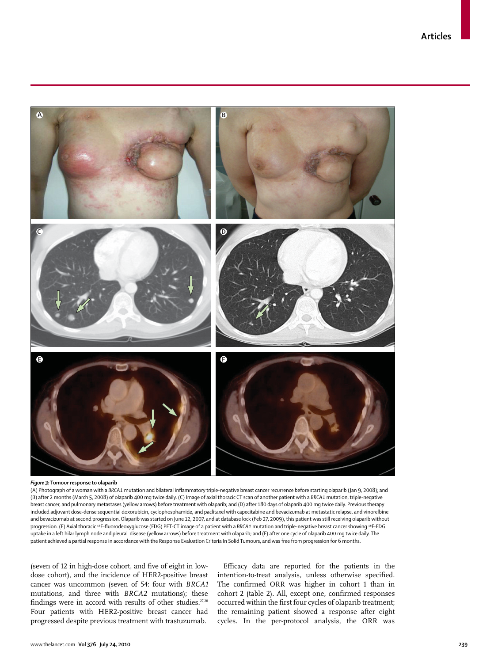

#### *Figure 3:* **Tumour response to olaparib**

(A) Photograph of a woman with a BRCA1 mutation and bilateral inflammatory triple-negative breast cancer recurrence before starting olaparib (Jan 9, 2008); and (B) after 2 months (March 5, 2008) of olaparib 400 mg twice daily. (C) Image of axial thoracic CT scan of another patient with a *BRCA1* mutation, triple-negative breast cancer, and pulmonary metastases (yellow arrows) before treatment with olaparib; and (D) after 180 days of olaparib 400 mg twice daily. Previous therapy included adjuvant dose-dense sequential doxorubicin, cyclophosphamide, and paclitaxel with capecitabine and bevacizumab at metastatic relapse, and vinorelbine and bevacizumab at second progression. Olaparib was started on June 12, 2007, and at database lock (Feb 27, 2009), this patient was still receiving olaparib without progression. (E) Axial thoracic 18F-fl uorodeoxyglucose (FDG) PET-CT image of a patient with a *BRCA1* mutation and triple-negative breast cancer showing 18F-FDG uptake in a left hilar lymph node and pleural disease (yellow arrows) before treatment with olaparib; and (F) after one cycle of olaparib 400 mg twice daily. The patient achieved a partial response in accordance with the Response Evaluation Criteria In Solid Tumours, and was free from progression for 6 months.

(seven of 12 in high-dose cohort, and five of eight in lowdose cohort), and the incidence of HER2-positive breast cancer was uncommon (seven of 54: four with *BRCA1* mutations, and three with *BRCA2* mutations); these findings were in accord with results of other studies.<sup>27,28</sup> Four patients with HER2-positive breast cancer had progressed despite previous treatment with trastuzumab.

Efficacy data are reported for the patients in the intention-to-treat analysis, unless otherwise specified. The confirmed ORR was higher in cohort 1 than in cohort 2 (table 2). All, except one, confirmed responses occurred within the first four cycles of olaparib treatment; the remaining patient showed a response after eight cycles. In the per-protocol analysis, the ORR was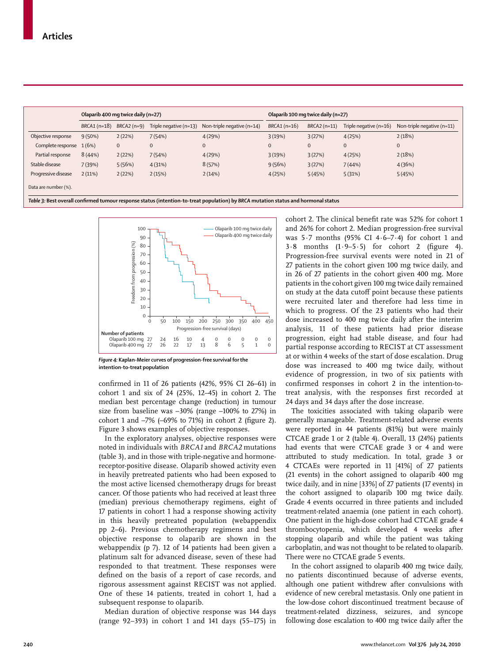|                      | Olaparib 400 mg twice daily (n=27) |              |                        |                                                                                                                                    |               | Olaparib 100 mg twice daily (n=27) |                          |                              |
|----------------------|------------------------------------|--------------|------------------------|------------------------------------------------------------------------------------------------------------------------------------|---------------|------------------------------------|--------------------------|------------------------------|
|                      | $BRCA1(n=18)$                      | $BRCA2(n=9)$ | Triple negative (n=13) | Non-triple negative (n=14)                                                                                                         | $BRCA1(n=16)$ | $BRCA2(n=11)$                      | Triple negative $(n=16)$ | Non-triple negative $(n=11)$ |
| Objective response   | 9(50%)                             | 2(22%)       | 7(54%)                 | 4(29%)                                                                                                                             | 3(19%)        | 3(27%)                             | 4(25%)                   | 2(18%)                       |
| Complete response    | 1(6%)                              | $\mathbf{0}$ | $\Omega$               | $\mathbf{0}$                                                                                                                       | $\mathbf{0}$  | $\mathbf{0}$                       | $\Omega$                 | $\mathbf{0}$                 |
| Partial response     | 8(44%)                             | 2(22%)       | 7(54%)                 | 4(29%)                                                                                                                             | 3(19%)        | 3(27%)                             | 4(25%)                   | 2(18%)                       |
| Stable disease       | 7 (39%)                            | 5(56%)       | 4(31%)                 | 8(57%)                                                                                                                             | 9(56%)        | 3(27%)                             | 7(44%)                   | 4(36%)                       |
| Progressive disease  | 2(11%)                             | 2(22%)       | 2(15%)                 | 2(14%)                                                                                                                             | 4(25%)        | 5(45%)                             | 5(31%)                   | 5(45%)                       |
| Data are number (%). |                                    |              |                        |                                                                                                                                    |               |                                    |                          |                              |
|                      |                                    |              |                        | Table 3: Best overall confirmed tumour response status (intention-to-treat population) by BRCA mutation status and hormonal status |               |                                    |                          |                              |



*Figure 4:* **Kaplan-Meier curves of progression-free survival for the intention-to-treat population**

confirmed in 11 of 26 patients (42%, 95% CI 26–61) in cohort 1 and six of 24 (25%, 12–45) in cohort 2. The median best percentage change (reduction) in tumour size from baseline was –30% (range –100% to 27%) in cohort 1 and  $-7\%$  ( $-69\%$  to 71%) in cohort 2 (figure 2). Figure 3 shows examples of objective responses.

In the exploratory analyses, objective responses were noted in individuals with *BRCA1* and *BRCA2* mutations (table 3), and in those with triple-negative and hormonereceptor-positive disease. Olaparib showed activity even in heavily pretreated patients who had been exposed to the most active licensed chemotherapy drugs for breast cancer. Of those patients who had received at least three (median) previous chemotherapy regimens, eight of 17 patients in cohort 1 had a response showing activity in this heavily pretreated population (webappendix pp 2–6). Previous chemotherapy regimens and best objective response to olaparib are shown in the webappendix (p 7). 12 of 14 patients had been given a platinum salt for advanced disease, seven of these had responded to that treatment. These responses were defined on the basis of a report of case records, and rigorous assessment against RECIST was not applied. One of these 14 patients, treated in cohort 1, had a subsequent response to olaparib.

Median duration of objective response was 144 days (range 92–393) in cohort 1 and 141 days (55–175) in cohort 2. The clinical benefit rate was 52% for cohort 1 and 26% for cohort 2. Median progression-free survival was 5·7 months (95% CI 4·6–7·4) for cohort 1 and  $3.8$  months  $(1.9-5.5)$  for cohort 2 (figure 4). Progression-free survival events were noted in 21 of 27 patients in the cohort given 100 mg twice daily, and in 26 of 27 patients in the cohort given 400 mg. More patients in the cohort given 100 mg twice daily remained on study at the data cutoff point because these patients were recruited later and therefore had less time in which to progress. Of the 23 patients who had their dose increased to 400 mg twice daily after the interim analysis, 11 of these patients had prior disease progression, eight had stable disease, and four had partial response according to RECIST at CT assessment at or within 4 weeks of the start of dose escalation. Drug dose was increased to 400 mg twice daily, without evidence of progression, in two of six patients with confirmed responses in cohort 2 in the intention-totreat analysis, with the responses first recorded at 24 days and 34 days after the dose increase.

The toxicities associated with taking olaparib were generally manageable. Treatment-related adverse events were reported in 44 patients (81%) but were mainly CTCAE grade 1 or 2 (table 4). Overall, 13 (24%) patients had events that were CTCAE grade 3 or 4 and were attributed to study medication. In total, grade 3 or 4 CTCAEs were reported in 11 [41%] of 27 patients (21 events) in the cohort assigned to olaparib 400 mg twice daily, and in nine [33%] of 27 patients (17 events) in the cohort assigned to olaparib 100 mg twice daily. Grade 4 events occurred in three patients and included treatment-related anaemia (one patient in each cohort). One patient in the high-dose cohort had CTCAE grade 4 thrombocytopenia, which developed 4 weeks after stopping olaparib and while the patient was taking carboplatin, and was not thought to be related to olaparib. There were no CTCAE grade 5 events.

In the cohort assigned to olaparib 400 mg twice daily, no patients discontinued because of adverse events, although one patient withdrew after convulsions with evidence of new cerebral metastasis. Only one patient in the low-dose cohort discontinued treatment because of treatment-related dizziness, seizures, and syncope following dose escalation to 400 mg twice daily after the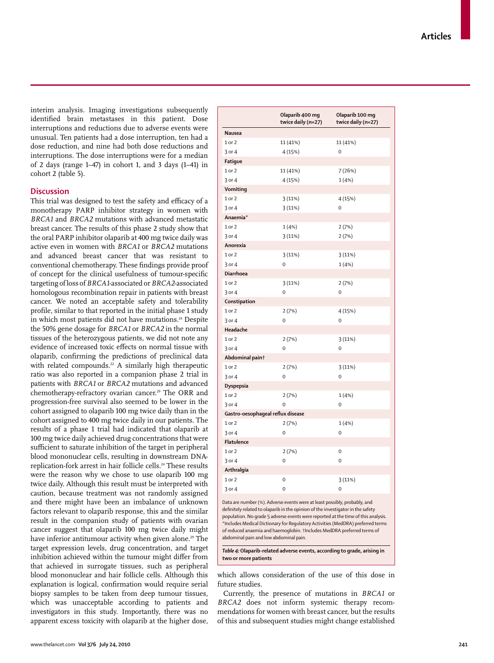interim analysis. Imaging investigations subsequently identified brain metastases in this patient. Dose interruptions and reductions due to adverse events were unusual. Ten patients had a dose interruption, ten had a dose reduction, and nine had both dose reductions and interruptions. The dose interruptions were for a median of 2 days (range 1–47) in cohort 1, and 3 days (1–41) in cohort 2 (table 5).

## **Discussion**

This trial was designed to test the safety and efficacy of a monotherapy PARP inhibitor strategy in women with *BRCA1* and *BRCA2* mutations with advanced metastatic breast cancer. The results of this phase 2 study show that the oral PARP inhibitor olaparib at 400 mg twice daily was active even in women with *BRCA1* or *BRCA2* mutations and advanced breast cancer that was resistant to conventional chemotherapy. These findings provide proof of concept for the clinical usefulness of tumour-specific targeting of loss of *BRCA1*-associated or *BRCA2*-associated homologous recombination repair in patients with breast cancer. We noted an acceptable safety and tolerability profile, similar to that reported in the initial phase 1 study in which most patients did not have mutations.<sup>24</sup> Despite the 50% gene dosage for *BRCA1* or *BRCA2* in the normal tissues of the heterozygous patients, we did not note any evidence of increased toxic effects on normal tissue with olaparib, confirming the predictions of preclinical data with related compounds.<sup>22</sup> A similarly high therapeutic ratio was also reported in a companion phase 2 trial in patients with *BRCA1* or *BRCA2* mutations and advanced chemotherapy-refractory ovarian cancer.<sup>29</sup> The ORR and progression-free survival also seemed to be lower in the cohort assigned to olaparib 100 mg twice daily than in the cohort assigned to 400 mg twice daily in our patients. The results of a phase 1 trial had indicated that olaparib at 100 mg twice daily achieved drug concentrations that were sufficient to saturate inhibition of the target in peripheral blood mononuclear cells, resulting in downstream DNAreplication-fork arrest in hair follicle cells.<sup>24</sup> These results were the reason why we chose to use olaparib 100 mg twice daily. Although this result must be interpreted with caution, because treatment was not randomly assigned and there might have been an imbalance of unknown factors relevant to olaparib response, this and the similar result in the companion study of patients with ovarian cancer suggest that olaparib 100 mg twice daily might have inferior antitumour activity when given alone.<sup>29</sup> The target expression levels, drug concentration, and target inhibition achieved within the tumour might differ from that achieved in surrogate tissues, such as peripheral blood mononuclear and hair follicle cells. Although this explanation is logical, confirmation would require serial biopsy samples to be taken from deep tumour tissues, which was unacceptable according to patients and investigators in this study. Importantly, there was no apparent excess toxicity with olaparib at the higher dose,

|                                   | Olaparib 400 mg<br>twice daily (n=27)                                     | Olaparib 100 mg<br>twice daily (n=27) |
|-----------------------------------|---------------------------------------------------------------------------|---------------------------------------|
| Nausea                            |                                                                           |                                       |
| $1$ or $2$                        | 11 (41%)                                                                  | 11 (41%)                              |
| 3 or 4                            | 4(15%)                                                                    | $\mathbf 0$                           |
| Fatigue                           |                                                                           |                                       |
| $1$ or $2$                        | 11 (41%)                                                                  | 7(26%)                                |
| 3 or 4                            | 4(15%)                                                                    | 1(4%)                                 |
| Vomiting                          |                                                                           |                                       |
| $1$ or $2$                        | 3(11%)                                                                    | 4 (15%)                               |
| 3 or 4                            | 3(11%)                                                                    | 0                                     |
| Anaemia*                          |                                                                           |                                       |
| $1$ or $2$                        | 1(4%)                                                                     | 2(7%)                                 |
| 3 or 4                            | 3(11%)                                                                    | 2(7%)                                 |
| Anorexia                          |                                                                           |                                       |
| $1$ or $2$                        | 3(11%)                                                                    | 3(11%)                                |
| 3 or 4                            | 0                                                                         | 1(4%)                                 |
| <b>Diarrhoea</b>                  |                                                                           |                                       |
| $1$ or $2$                        | 3(11%)                                                                    | 2(7%)                                 |
| 3 or 4                            | 0                                                                         | $\Omega$                              |
| Constipation                      |                                                                           |                                       |
| $1$ or $2$                        | 2(7%)                                                                     | 4 (15%)                               |
| $3$ or $4$                        | $\overline{0}$                                                            | $\overline{0}$                        |
| Headache                          |                                                                           |                                       |
| 1 or 2                            | 2(7%)                                                                     | 3(11%)                                |
| 3 or 4                            | 0                                                                         | 0                                     |
| Abdominal paint                   |                                                                           |                                       |
| $1$ or $2$                        | 2(7%)                                                                     | 3(11%)                                |
| $3$ or $4$                        | $\mathbf 0$                                                               | $\mathbf 0$                           |
| Dyspepsia                         |                                                                           |                                       |
| 1 or 2                            | 2(7%)                                                                     | 1(4%)                                 |
| $3$ or $4$                        | $\overline{0}$                                                            | $\mathbf 0$                           |
| Gastro-oesophageal reflux disease |                                                                           |                                       |
| $1$ or $2$                        | 2(7%)                                                                     | 1(4%)                                 |
| $3$ or $4$                        | $\mathbf 0$                                                               | 0                                     |
| Flatulence                        |                                                                           |                                       |
| $1$ or $2$                        | 2(7%)                                                                     | $\mathbf 0$                           |
| $3$ or 4                          | $\mathbf 0$                                                               | $\mathbf 0$                           |
| Arthralgia                        |                                                                           |                                       |
| 1 or 2                            | 0                                                                         | 3(11%)                                |
| $3$ or $4$                        | $\overline{0}$                                                            | $\overline{0}$                        |
|                                   | Data are number (%). Adverse events were at least possibly, probably, and |                                       |

definitely related to olaparib in the opinion of the investigator in the safety population. No grade 5 adverse events were reported at the time of this analysis. .<br>\*Includes Medical Dictionary for Regulatory Activities (MedDRA) preferred terms of reduced anaemia and haemoglobin. †Includes MedDRA preferred terms of abdominal pain and low abdominal pain.

*Table 4:* **Olaparib-related adverse events, according to grade, arising in two or more patients**

which allows consideration of the use of this dose in future studies.

Currently, the presence of mutations in *BRCA1* or *BRCA2* does not inform systemic therapy recommendations for women with breast cancer, but the results of this and subsequent studies might change established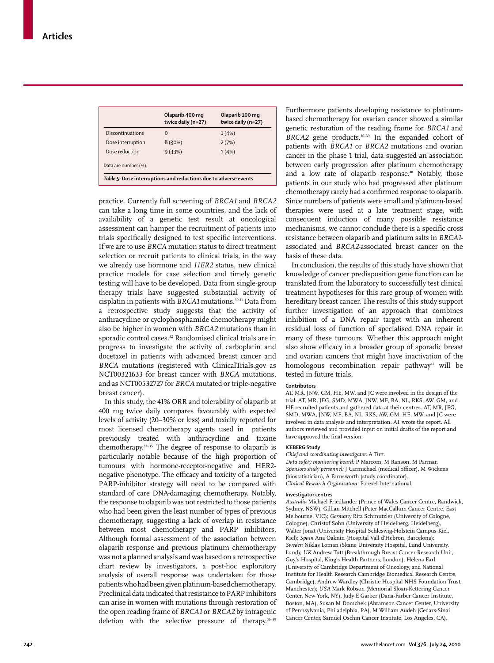|                         | Olaparib 400 mg<br>twice daily (n=27) | Olaparib 100 mg<br>twice daily (n=27) |
|-------------------------|---------------------------------------|---------------------------------------|
| <b>Discontinuations</b> | $\Omega$                              | 1(4%)                                 |
| Dose interruption       | 8(30%)                                | 2(7%)                                 |
| Dose reduction          | 9(33%)                                | 1(4%)                                 |
| Data are number (%).    |                                       |                                       |

practice. Currently full screening of *BRCA1* and *BRCA2* can take a long time in some countries, and the lack of availability of a genetic test result at oncological assessment can hamper the recruitment of patients into trials specifically designed to test specific interventions. If we are to use *BRCA* mutation status to direct treatment selection or recruit patients to clinical trials, in the way we already use hormone and *HER2* status, new clinical practice models for case selection and timely genetic testing will have to be developed. Data from single-group therapy trials have suggested substantial activity of cisplatin in patients with *BRCA1* mutations.<sup>30,31</sup> Data from a retrospective study suggests that the activity of anthracycline or cyclophosphamide chemotherapy might also be higher in women with *BRCA2* mutations than in sporadic control cases.<sup>32</sup> Randomised clinical trials are in progress to investigate the activity of carboplatin and docetaxel in patients with advanced breast cancer and *BRCA* mutations (registered with ClinicalTrials.gov as NCT00321633 for breast cancer with *BRCA* mutations, and as NCT00532727 for *BRCA* mutated or triple-negative breast cancer).

In this study, the 41% ORR and tolerability of olaparib at 400 mg twice daily compares favourably with expected levels of activity (20–30% or less) and toxicity reported for most licensed chemotherapy agents used in patients previously treated with anthracycline and taxane chemotherapy.33–35 The degree of response to olaparib is particularly notable because of the high proportion of tumours with hormone-receptor-negative and HER2 negative phenotype. The efficacy and toxicity of a targeted PARP-inhibitor strategy will need to be compared with standard of care DNA-damaging chemotherapy. Notably, the response to olaparib was not restricted to those patients who had been given the least number of types of previous chemotherapy, suggesting a lack of overlap in resistance between most chemotherapy and PARP inhibitors. Although formal assessment of the association between olaparib response and previous platinum chemotherapy was not a planned analysis and was based on a retrospective chart review by investigators, a post-hoc exploratory analysis of overall response was undertaken for those patients who had been given platinum-based chemotherapy. Preclinical data indicated that resistance to PARP inhibitors can arise in women with mutations through restoration of the open reading frame of *BRCA1* or *BRCA2* by intragenic deletion with the selective pressure of therapy.36–39

Furthermore patients developing resistance to platinumbased chemotherapy for ovarian cancer showed a similar genetic restoration of the reading frame for *BRCA1* and BRCA2 gene products.<sup>36-39</sup> In the expanded cohort of patients with *BRCA1* or *BRCA2* mutations and ovarian cancer in the phase 1 trial, data suggested an association between early progression after platinum chemotherapy and a low rate of olaparib response.<sup>40</sup> Notably, those patients in our study who had progressed after platinum chemotherapy rarely had a confirmed response to olaparib. Since numbers of patients were small and platinum-based therapies were used at a late treatment stage, with consequent induction of many possible resistance mechanisms, we cannot conclude there is a specific cross resistance between olaparib and platinum salts in *BRCA1* associated and *BRCA2*-associated breast cancer on the basis of these data.

In conclusion, the results of this study have shown that knowledge of cancer predisposition gene function can be translated from the laboratory to successfully test clinical treatment hypotheses for this rare group of women with hereditary breast cancer. The results of this study support further investigation of an approach that combines inhibition of a DNA repair target with an inherent residual loss of function of specialised DNA repair in many of these tumours. Whether this approach might also show efficacy in a broader group of sporadic breast and ovarian cancers that might have inactivation of the homologous recombination repair pathway<sup>41</sup> will be tested in future trials.

#### **Contributors**

AT, MR, JNW, GM, HE, MW, and JC were involved in the design of the trial. AT, MR, JEG, SMD, MWA, JNW, MF, BA, NL, RKS, AW, GM, and HE recruited patients and gathered data at their centres. AT, MR, JEG, SMD, MWA, JNW, MF, BA, NL, RKS, AW, GM, HE, MW, and JC were involved in data analysis and interpretation. AT wrote the report. All authors reviewed and provided input on initial drafts of the report and have approved the final version.

#### **ICEBERG Study**

*Chief and coordinating investigator:* A Tutt. *Data safety monitoring board:* P Marcom, M Ranson, M Parmar. *Sponsors study personnel:* J Carmichael (medical officer), M Wickens (biostatistician), A Farnsworth (study coordinator). *Clinical Research Organisation:* Parexel International.

#### **Investigator centres**

*Australia* Michael Friedlander (Prince of Wales Cancer Centre, Randwick, Sydney, NSW), Gillian Mitchell (Peter MacCallum Cancer Centre, East Melbourne, VIC); *Germany* Rita Schmutzler (University of Cologne, Cologne), Christof Sohn (University of Heidelberg, Heidelberg), Walter Jonat (University Hospital Schleswig-Holstein Campus Kiel, Kiel); *Spain* Ana Oaknin (Hospital Vall d'Hebron, Barcelona); *Sweden* Niklas Loman (Skane University Hospital, Lund University, Lund); *UK* Andrew Tutt (Breakthrough Breast Cancer Research Unit, Guy's Hospital, King's Health Partners, London), Helena Earl (University of Cambridge Department of Oncology, and National Institute for Health Research Cambridge Biomedical Research Centre, Cambridge), Andrew Wardley (Christie Hospital NHS Foundation Trust, Manchester); *USA* Mark Robson (Memorial Sloan-Kettering Cancer Center, New York, NY), Judy E Garber (Dana-Farber Cancer Institute, Boston, MA), Susan M Domchek (Abramson Cancer Center, University of Pennsylvania, Philadelphia, PA), M William Audeh (Cedars-Sinai Cancer Center, Samuel Oschin Cancer Institute, Los Angeles, CA),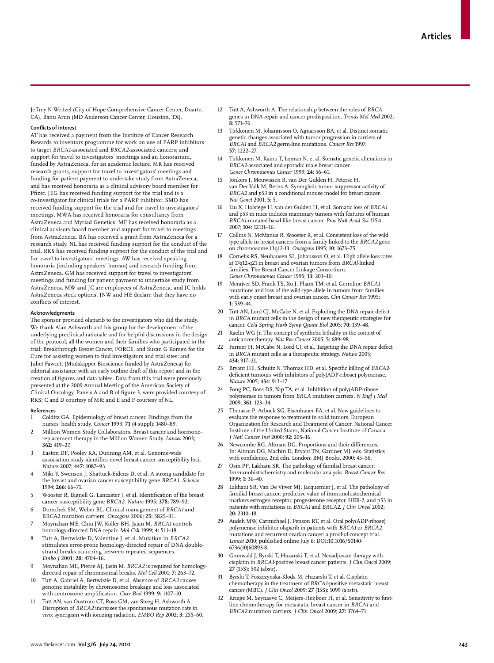Jeffrey N Weitzel (City of Hope Comprehensive Cancer Center, Duarte, CA), Banu Arun (MD Anderson Cancer Center, Houston, TX).

#### **Conflicts of interest**

AT has received a payment from the Institute of Cancer Research Rewards to inventors programme for work on use of PARP inhibitors to target *BRCA1*-associated and *BRCA2*-associated cancers; and support for travel to investigators' meetings and an honorarium, funded by AstraZeneca, for an academic lecture. MR has received research grants, support for travel to investigators' meetings and funding for patient payment to undertake study from AstraZeneca, and has received honoraria as a clinical advisory board member for Pfizer. JEG has received funding support for the trial and is a co-investigator for clinical trials for a PARP inhibitor. SMD has received funding support for the trial and for travel to investigators' meetings. MWA has received honoraria for consultancy from AstraZeneca and Myriad Genetics. MF has received honoraria as a clinical advisory board member and support for travel to meetings from AstraZeneca. BA has received a grant from AstraZeneca for a research study. NL has received funding support for the conduct of the trial. RKS has received funding support for the conduct of the trial and for travel to investigators' meetings. AW has received speaking honoraria (including speakers' bureau) and research funding from AstraZeneca. GM has received support for travel to investigators' meetings and funding for patient payment to undertake study from AstraZeneca. MW and JC are employees of AstraZeneca, and JC holds AstraZeneca stock options. JNW and HE declare that they have no conflicts of interest.

#### **Acknowledgments**

The sponsor provided olaparib to the investigators who did the study. We thank Alan Ashworth and his group for the development of the underlying preclinical rationale and for helpful discussions in the design of the protocol; all the women and their families who participated in the trial; Breakthrough Breast Cancer, FORCE, and Susan G Komen for the Cure for assisting women to find investigators and trial sites; and Juliet Fawcett (Mudskipper Bioscience funded by AstraZeneca) for editorial assistance with an early outline draft of this report and in the creation of figures and data tables. Data from this trial were previously presented at the 2009 Annual Meeting of the American Society of Clinical Oncology. Panels A and B of figure 3, were provided courtesy of RKS; C and D courtesy of MR; and E and F courtesy of NL.

#### **References**

- Colditz GA. Epidemiology of breast cancer. Findings from the nurses' health study. *Cancer* 1993; **71** (4 suppl)**:** 1480–89.
- Million Women Study Collaborators. Breast cancer and hormonereplacement therapy in the Million Women Study. *Lancet* 2003; **362:** 419–27.
- 3 Easton DF, Pooley KA, Dunning AM, et al. Genome-wide association study identifies novel breast cancer susceptibility loci. *Nature* 2007; **447:** 1087–93.
- Miki Y, Swensen J, Shattuck-Eidens D, et al. A strong candidate for the breast and ovarian cancer susceptibility gene *BRCA1*. *Science* 1994; **266:** 66–71.
- Wooster R, Bignell G, Lancaster J, et al. Identification of the breast cancer susceptibility gene *BRCA2*. *Nature* 1995; **378:** 789–92.
- 6 Domchek SM, Weber BL. Clinical management of *BRCA1* and BRCA2 mutation carriers. *Oncogene* 2006; **25:** 5825–31.
- 7 Moynahan ME, Chiu JW, Koller BH, Jasin M. *BRCA1* controls homology-directed DNA repair. *Mol Cell* 1999; **4:** 511–18.
- 8 Tutt A, Bertwistle D, Valentine J, et al. Mutation in *BRCA2* stimulates error-prone homology-directed repair of DNA doublestrand breaks occurring between repeated sequences. *Embo J* 2001; **20:** 4704–16.
- 9 Moynahan ME, Pierce AJ, Jasin M. *BRCA2* is required for homologydirected repair of chromosomal breaks. *Mol Cell* 2001; **7:** 263–72.
- 10 Tutt A, Gabriel A, Bertwistle D, et al. Absence of *BRCA2* causes genome instability by chromosome breakage and loss associated with centrosome amplification. *Curr Biol* 1999; 9: 1107-10.
- 11 Tutt AN, van Oostrom CT, Ross GM, van Steeg H, Ashworth A. Disruption of *BRCA2* increases the spontaneous mutation rate in vivo: synergism with ionizing radiation. *EMBO Rep* 2002; **3:** 255–60.
- 12 Tutt A, Ashworth A. The relationship between the roles of *BRCA* genes in DNA repair and cancer predisposition. *Trends Mol Med* 2002; **8:** 571–76.
- 13 Tirkkonen M, Johannsson O, Agnarsson BA, et al. Distinct somatic genetic changes associated with tumor progression in carriers of *BRCA1* and *BRCA2* germ-line mutations. *Cancer Res* 1997; **57:** 1222–27.
- Tirkkonen M, Kainu T, Loman N, et al. Somatic genetic alterations in *BRCA2*-associated and sporadic male breast cancer. *Genes Chromosomes Cancer* 1999; **24:** 56–61.
- 15 Jonkers J, Meuwissen R, van Der Gulden H, Peterse H, van Der Valk M, Berns A. Synergistic tumor suppressor activity of *BRCA2* and *p53* in a conditional mouse model for breast cancer. *Nat Genet* 2001; **5:** 5.
- 16 Liu X, Holstege H, van der Gulden H, et al. Somatic loss of *BRCA1* and p53 in mice induces mammary tumors with features of human *BRCA1*-mutated basal-like breast cancer. *Proc Natl Acad Sci USA* 2007; **104:** 12111–16.
- 17 Collins N, McManus R, Wooster R, et al. Consistent loss of the wild type allele in breast cancers from a family linked to the *BRCA2* gene on chromosome 13q12-13. *Oncogene* 1995; **10:** 1673–75.
- 18 Cornelis RS, Neuhausen SL, Johansson O, et al. High allele loss rates at 17q12-q21 in breast and ovarian tumors from *BRCAl*-linked families. The Breast Cancer Linkage Consortium. *Genes Chromosomes Cancer* 1995; **13:** 203–10.
- 19 Merajver SD, Frank TS, Xu J, Pham TM, et al. Germline *BRCA1* mutations and loss of the wild-type allele in tumors from families with early onset breast and ovarian cancer. *Clin Cancer Res* 1995; **1:** 539–44.
- Tutt AN, Lord CJ, McCabe N, et al. Exploiting the DNA repair defect in *BRCA* mutant cells in the design of new therapeutic strategies for cancer. *Cold Spring Harb Symp Quant Biol* 2005; **70:** 139–48.
- 21 Kaelin WG Jr. The concept of synthetic lethality in the context of anticancer therapy. *Nat Rev Cancer* 2005; **5:** 689–98.
- Farmer H, McCabe N, Lord CJ, et al. Targeting the DNA repair defect in *BRCA* mutant cells as a therapeutic strategy. *Nature* 2005; **434:** 917–21.
- 23 Bryant HE, Schultz N, Thomas HD, et al. Specific killing of *BRCA2*deficient tumours with inhibitors of poly(ADP-ribose) polymerase. *Nature* 2005; **434:** 913–17.
- Fong PC, Boss DS, Yap TA, et al. Inhibition of poly(ADP-ribose polymerase in tumors from *BRCA* mutation carriers. *N Engl J Med* 2009; **361:** 123–34.
- 25 Therasse P, Arbuck SG, Eisenhauer EA, et al. New guidelines to evaluate the response to treatment in solid tumors. European Organization for Research and Treatment of Cancer, National Cancer Institute of the United States, National Cancer Institute of Canada. *J Natl Cancer Inst* 2000; **92:** 205–16.
- 26 Newcombe RG, Altman DG. Proportions and their differences. In: Altman DG, Machin D, Bryant TN, Gardner MJ, eds. Statistics with confidence, 2nd edn. London: BMJ Books, 2000: 45-56.
- Osin PP, Lakhani SR. The pathology of familial breast cancer: Immunohistochemistry and molecular analysis. *Breast Cancer Res* 1999; **1:** 36–40.
- 28 Lakhani SR, Van De Vijver MJ, Jacquemier J, et al. The pathology of familial breast cancer: predictive value of immunohistochemical markers estrogen receptor, progesterone receptor, HER-2, and p53 in patients with mutations in *BRCA1* and *BRCA2*. *J Clin Oncol* 2002; **20:** 2310–18.
- Audeh MW, Carmichael J, Penson RT, et al. Oral poly(ADP-ribose) polymerase inhibitor olaparib in patients with *BRCA1* or *BRCA2* mutations and recurrent ovarian cancer: a proof-of-concept trial. *Lancet* 2010; published online July 6; DOI:10.1016/S0140- 6736(10)60893-8.
- 30 Gronwald J, Byrski T, Huzarski T, et al. Neoadjuvant therapy with cisplatin in *BRCA1*-positive breast cancer patients. *J Clin Oncol* 2009; **27** (15S)**:** 502 (abstr).
- 31 Byrski T, Foszczynska-Kloda M, Huzarski T, et al. Cisplatin chemotherapy in the treatment of *BRCA1*-positive metastatic breast cancer (MBC). *J Clin Oncol* 2009; **27** (15S)**:** 1099 (abstr).
- Kriege M, Seynaeve C, Meijers-Heijboer H, et al. Sensitivity to firstline chemotherapy for metastatic breast cancer in *BRCA1* and *BRCA2* mutation carriers. *J Clin Oncol* 2009; **27:** 3764–71.